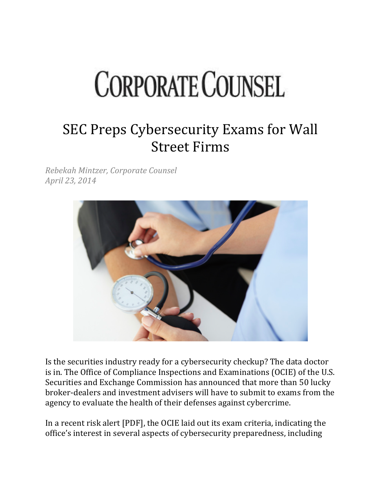## **CORPORATE COUNSEL**

## SEC Preps Cybersecurity Exams for Wall **Street Firms**

*Rebekah Mintzer, Corporate Counsel April 23, 2014*



Is the securities industry ready for a cybersecurity checkup? The data doctor is in. The Office of Compliance Inspections and Examinations (OCIE) of the U.S. Securities and Exchange Commission has announced that more than 50 lucky broker-dealers and investment advisers will have to submit to exams from the agency to evaluate the health of their defenses against cybercrime.

In a recent risk alert [PDF], the OCIE laid out its exam criteria, indicating the office's interest in several aspects of cybersecurity preparedness, including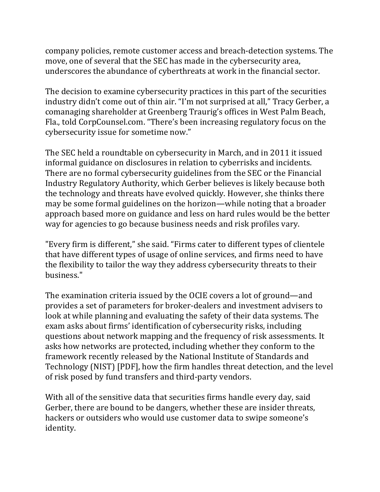company policies, remote customer access and breach-detection systems. The move, one of several that the SEC has made in the cybersecurity area, underscores the abundance of cyberthreats at work in the financial sector.

The decision to examine cybersecurity practices in this part of the securities industry didn't come out of thin air. "I'm not surprised at all," Tracy Gerber, a comanaging shareholder at Greenberg Traurig's offices in West Palm Beach, Fla., told CorpCounsel.com. "There's been increasing regulatory focus on the cybersecurity issue for sometime now."

The SEC held a roundtable on cybersecurity in March, and in 2011 it issued informal guidance on disclosures in relation to cyberrisks and incidents. There are no formal cybersecurity guidelines from the SEC or the Financial Industry Regulatory Authority, which Gerber believes is likely because both the technology and threats have evolved quickly. However, she thinks there may be some formal guidelines on the horizon—while noting that a broader approach based more on guidance and less on hard rules would be the better way for agencies to go because business needs and risk profiles vary.

"Every firm is different," she said. "Firms cater to different types of clientele that have different types of usage of online services, and firms need to have the flexibility to tailor the way they address cybersecurity threats to their business."

The examination criteria issued by the OCIE covers a lot of ground—and provides a set of parameters for broker-dealers and investment advisers to look at while planning and evaluating the safety of their data systems. The exam asks about firms' identification of cybersecurity risks, including questions about network mapping and the frequency of risk assessments. It asks how networks are protected, including whether they conform to the framework recently released by the National Institute of Standards and Technology (NIST) [PDF], how the firm handles threat detection, and the level of risk posed by fund transfers and third-party vendors.

With all of the sensitive data that securities firms handle every day, said Gerber, there are bound to be dangers, whether these are insider threats, hackers or outsiders who would use customer data to swipe someone's identity.